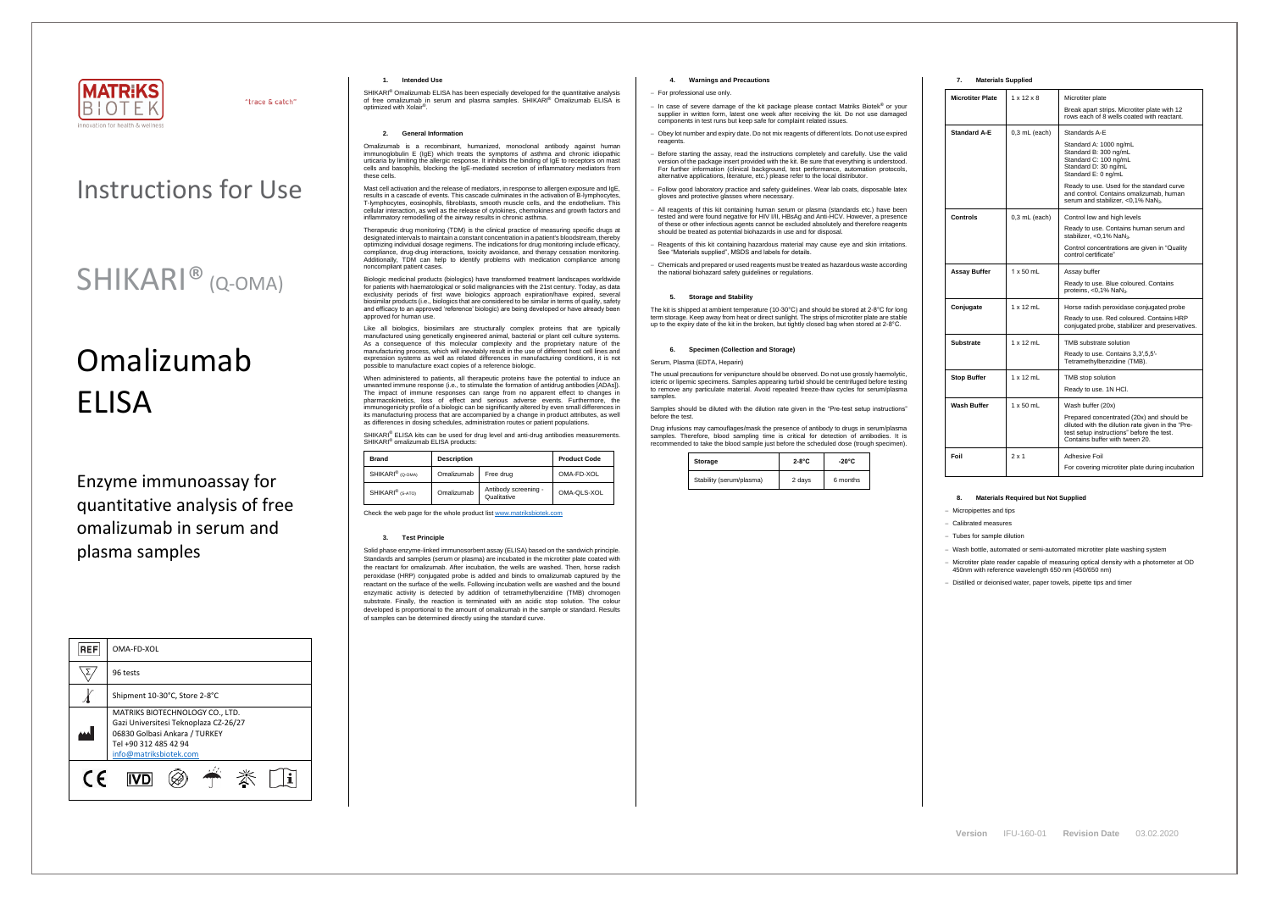

"trace & catch"

## Instructions for Use

## SHIKARI® (Q-OMA)

# Omalizumab ELISA

Enzyme immunoassay for quantitative analysis of free omalizumab in serum and plasma samples

| <b>REF</b> | OMA-FD-XOL                                                                                                                                                   |  |  |
|------------|--------------------------------------------------------------------------------------------------------------------------------------------------------------|--|--|
|            | 96 tests                                                                                                                                                     |  |  |
|            | Shipment 10-30°C, Store 2-8°C                                                                                                                                |  |  |
|            | MATRIKS BIOTECHNOLOGY CO., LTD.<br>Gazi Universitesi Teknoplaza CZ-26/27<br>06830 Golbasi Ankara / TURKEY<br>Tel +90 312 485 42 94<br>info@matriksbiotek.com |  |  |
| $\epsilon$ |                                                                                                                                                              |  |  |

SHIKARI® Omalizumab ELISA has been especially developed for the quantitative analysis of free omalizumab in serum and plasma samples. SHIKARI® Omalizumab ELISA is optimized with Xolair® .

#### **1. Intended Use**

#### **2. General Information**

Omalizumab is a recombinant, humanized, monoclonal antibody against human immunoglobulin E (IgE) which treats the symptoms of asthma and chronic idiopathic urticaria by limiting the allergic response. It inhibits the binding of IgE to receptors on mast cells and basophils, blocking the IgE-mediated secretion of inflammatory mediators from these cells.

Mast cell activation and the release of mediators, in response to allergen exposure and IgE, results in a cascade of events. This cascade culminates in the activation of B-lymphocytes T-lymphocytes, eosinophils, fibroblasts, smooth muscle cells, and the endothelium. This cellular interaction, as well as the release of cytokines, chemokines and growth factors and inflammatory remodelling of the airway results in chronic asthma.

Therapeutic drug monitoring (TDM) is the clinical practice of measuring specific drugs at designated intervals to maintain a constant concentration in a patient's bloodstream, thereby optimizing individual dosage regimens. The indications for drug monitoring include efficacy, compliance, drug-drug interactions, toxicity avoidance, and therapy cessation monitoring. Additionally, TDM can help to identify problems with medication compliance among noncompliant patient cases.

SHIKARI® ELISA kits can be used for drug level and anti-drug antibodies measurements. SHIKARI® omalizumab ELISA products:

Biologic medicinal products (biologics) have transformed treatment landscapes worldwide for patients with haematological or solid malignancies with the 21st century. Today, as data exclusivity periods of first wave biologics approach expiration/have expired, several biosimilar products (i.e., biologics that are considered to be similar in terms of quality, safety and efficacy to an approved 'reference' biologic) are being developed or have already been approved for human use.

Like all biologics, biosimilars are structurally complex proteins that are typically manufactured using genetically engineered animal, bacterial or plant cell culture systems. As a consequence of this molecular complexity and the proprietary nature of the manufacturing process, which will inevitably result in the use of different host cell lines and expression systems as well as related differences in manufacturing conditions, it is not possible to manufacture exact copies of a reference biologic.

When administered to patients, all therapeutic proteins have the potential to induce an unwanted immune response (i.e., to stimulate the formation of antidrug antibodies [ADAs]). The impact of immune responses can range from no apparent effect to changes in pharmacokinetics, loss of effect and serious adverse events. Furthermore, the immunogenicity profile of a biologic can be significantly altered by even small differences in its manufacturing process that are accompanied by a change in product attributes, as well as differences in dosing schedules, administration routes or patient populations.

The usual precautions for venipuncture should be observed. Do not use grossly haemolytic, icteric or lipemic specimens. Samples appearing turbid should be centrifuged before testing to remove any particulate material. Avoid repeated freeze-thaw cycles for serum/plasma samples

| <b>Brand</b>                 | <b>Description</b> |                                     | <b>Product Code</b> |  |
|------------------------------|--------------------|-------------------------------------|---------------------|--|
| SHIKARI <sup>®</sup> (Q-OMA) | Omalizumab         | Free drug                           | OMA-FD-XOL          |  |
| SHIKARI <sup>®</sup> (S-ATO) | Omalizumab         | Antibody screening -<br>Qualitative | OMA-QLS-XOL         |  |

Check the web page for the whole product lis[t www.matriksbiotek.com](http://www.matriksbiotek.com/)

#### **3. Test Principle**

Solid phase enzyme-linked immunosorbent assay (ELISA) based on the sandwich principle. Standards and samples (serum or plasma) are incubated in the microtiter plate coated with the reactant for omalizumab. After incubation, the wells are washed. Then, horse radish peroxidase (HRP) conjugated probe is added and binds to omalizumab captured by the reactant on the surface of the wells. Following incubation wells are washed and the bound enzymatic activity is detected by addition of tetramethylbenzidine (TMB) chromogen substrate. Finally, the reaction is terminated with an acidic stop solution. The colour developed is proportional to the amount of omalizumab in the sample or standard. Results of samples can be determined directly using the standard curve.

## **4. Warnings and Precautions**

#### − For professional use only.

- − In case of severe damage of the kit package please contact Matriks Biotek® or your supplier in written form, latest one week after receiving the kit. Do not use damaged components in test runs but keep safe for complaint related issues.
- Obey lot number and expiry date. Do not mix reagents of different lots. Do not use expired reagents
- Before starting the assay, read the instructions completely and carefully. Use the valid version of the package insert provided with the kit. Be sure that everything is understood. For further information (clinical background, test performance, automation protocols, alternative applications, literature, etc.) please refer to the local distributor.
- − Follow good laboratory practice and safety guidelines. Wear lab coats, disposable latex gloves and protective glasses where necessary.
- − All reagents of this kit containing human serum or plasma (standards etc.) have been tested and were found negative for HIV I/II, HBsAg and Anti-HCV. However, a presence of these or other infectious agents cannot be excluded absolutely and therefore reagents should be treated as potential biohazards in use and for disposal.
- − Reagents of this kit containing hazardous material may cause eye and skin irritations. See "Materials supplied", MSDS and labels for details.
- − Chemicals and prepared or used reagents must be treated as hazardous waste according the national biohazard safety guidelines or regulations.

## **5. Storage and Stability**

The kit is shipped at ambient temperature (10-30°C) and should be stored at 2-8°C for long term storage. Keep away from heat or direct sunlight. The strips of microtiter plate are stable up to the expiry date of the kit in the broken, but tightly closed bag when stored at 2-8°C.

#### **6. Specimen (Collection and Storage)**

#### Serum, Plasma (EDTA, Heparin)

Samples should be diluted with the dilution rate given in the "Pre-test setup instructions" before the test.

Drug infusions may camouflages/mask the presence of antibody to drugs in serum/plasma samples. Therefore, blood sampling time is critical for detection of antibodies. It is recommended to take the blood sample just before the scheduled dose (trough specimen).

| Storage                  | $2-8$ °C | $-20^{\circ}$ C |  |
|--------------------------|----------|-----------------|--|
| Stability (serum/plasma) | 2 days   | 6 months        |  |

## **7. Materials Supplied**

| <b>Microtiter Plate</b> | $1 \times 12 \times 8$ | Microtiter plate                                                                                                                                                              |
|-------------------------|------------------------|-------------------------------------------------------------------------------------------------------------------------------------------------------------------------------|
|                         |                        | Break apart strips. Microtiter plate with 12<br>rows each of 8 wells coated with reactant.                                                                                    |
| <b>Standard A-E</b>     | $0,3$ mL (each)        | Standards A-E                                                                                                                                                                 |
|                         |                        | Standard A: 1000 ng/mL<br>Standard B: 300 ng/mL<br>Standard C: 100 ng/mL<br>Standard D: 30 ng/mL<br>Standard E: 0 ng/mL                                                       |
|                         |                        | Ready to use. Used for the standard curve<br>and control. Contains omalizumab, human<br>serum and stabilizer, <0,1% NaN3.                                                     |
| Controls                | $0,3$ mL (each)        | Control low and high levels                                                                                                                                                   |
|                         |                        | Ready to use. Contains human serum and<br>stabilizer, <0,1% NaN <sub>3</sub> .                                                                                                |
|                         |                        | Control concentrations are given in "Quality"<br>control certificate"                                                                                                         |
| Assay Buffer            | $1 \times 50$ mL       | Assay buffer                                                                                                                                                                  |
|                         |                        | Ready to use. Blue coloured. Contains<br>proteins, $<$ 0,1% NaN <sub>3</sub> .                                                                                                |
| Conjugate               | $1 \times 12$ mL       | Horse radish peroxidase conjugated probe                                                                                                                                      |
|                         |                        | Ready to use. Red coloured. Contains HRP<br>conjugated probe, stabilizer and preservatives.                                                                                   |
| Substrate               | $1 \times 12$ mL       | TMB substrate solution                                                                                                                                                        |
|                         |                        | Ready to use. Contains 3,3',5,5'-<br>Tetramethylbenzidine (TMB).                                                                                                              |
| <b>Stop Buffer</b>      | $1 \times 12$ mL       | TMB stop solution                                                                                                                                                             |
|                         |                        | Ready to use. 1N HCI.                                                                                                                                                         |
| Wash Buffer             | $1 \times 50$ mL       | Wash buffer (20x)                                                                                                                                                             |
|                         |                        | Prepared concentrated (20x) and should be<br>diluted with the dilution rate given in the "Pre-<br>test setup instructions" before the test.<br>Contains buffer with tween 20. |
| Foil                    | $2 \times 1$           | Adhesive Foil                                                                                                                                                                 |
|                         |                        | For covering microtiter plate during incubation                                                                                                                               |

## **8. Materials Required but Not Supplied**

− Micropipettes and tips

− Calibrated measures

− Tubes for sample dilution

− Wash bottle, automated or semi-automated microtiter plate washing system

− Microtiter plate reader capable of measuring optical density with a photometer at OD 450nm with reference wavelength 650 nm (450/650 nm)

− Distilled or deionised water, paper towels, pipette tips and timer